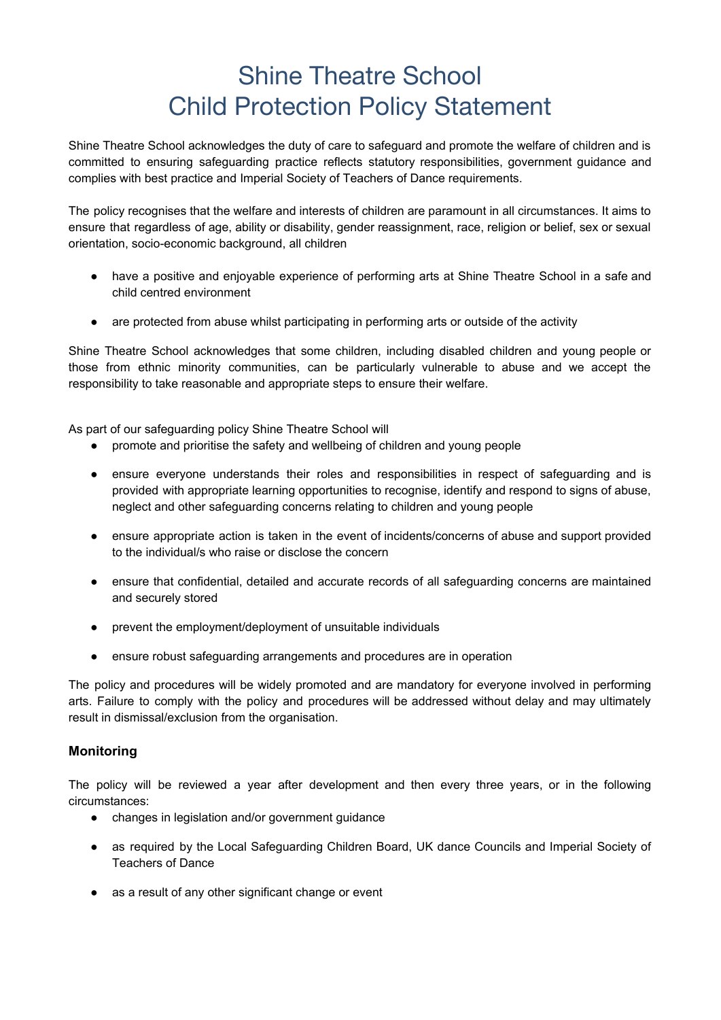## Shine Theatre School Child Protection Policy Statement

Shine Theatre School acknowledges the duty of care to safeguard and promote the welfare of children and is committed to ensuring safeguarding practice reflects statutory responsibilities, government guidance and complies with best practice and Imperial Society of Teachers of Dance requirements.

The policy recognises that the welfare and interests of children are paramount in all circumstances. It aims to ensure that regardless of age, ability or disability, gender reassignment, race, religion or belief, sex or sexual orientation, socio-economic background, all children

- have a positive and enjoyable experience of performing arts at Shine Theatre School in a safe and child centred environment
- are protected from abuse whilst participating in performing arts or outside of the activity

Shine Theatre School acknowledges that some children, including disabled children and young people or those from ethnic minority communities, can be particularly vulnerable to abuse and we accept the responsibility to take reasonable and appropriate steps to ensure their welfare.

As part of our safeguarding policy Shine Theatre School will

- promote and prioritise the safety and wellbeing of children and young people
- ensure everyone understands their roles and responsibilities in respect of safeguarding and is provided with appropriate learning opportunities to recognise, identify and respond to signs of abuse, neglect and other safeguarding concerns relating to children and young people
- ensure appropriate action is taken in the event of incidents/concerns of abuse and support provided to the individual/s who raise or disclose the concern
- ensure that confidential, detailed and accurate records of all safeguarding concerns are maintained and securely stored
- prevent the employment/deployment of unsuitable individuals
- ensure robust safeguarding arrangements and procedures are in operation

The policy and procedures will be widely promoted and are mandatory for everyone involved in performing arts. Failure to comply with the policy and procedures will be addressed without delay and may ultimately result in dismissal/exclusion from the organisation.

## **Monitoring**

The policy will be reviewed a year after development and then every three years, or in the following circumstances:

- changes in legislation and/or government guidance
- as required by the Local Safeguarding Children Board, UK dance Councils and Imperial Society of Teachers of Dance
- as a result of any other significant change or event